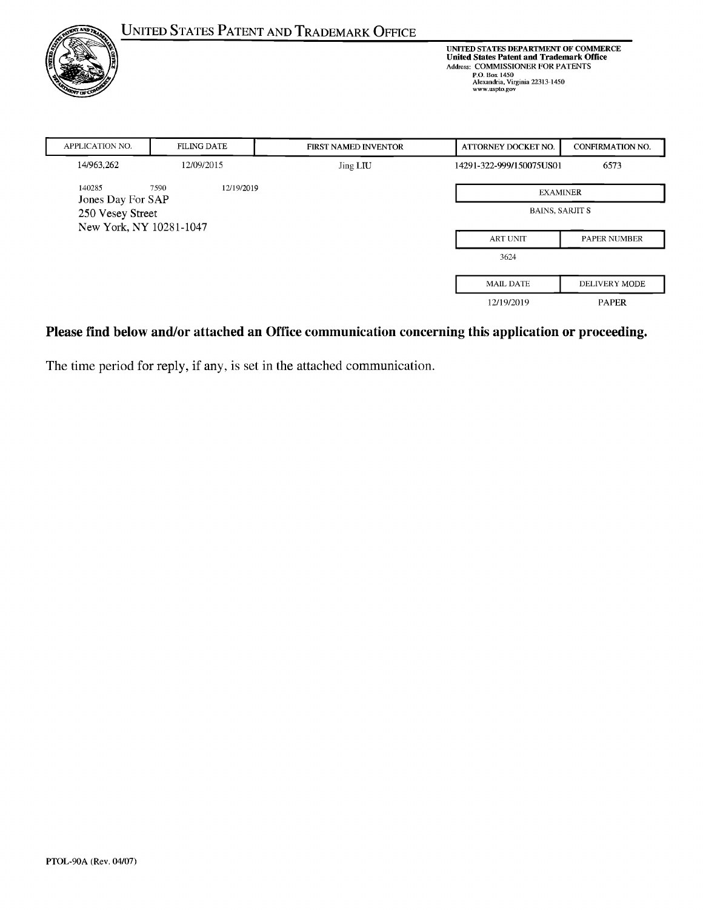|                                                   |                    | <b>UNITED STATES PATENT AND TRADEMARK OFFICE</b> | UNITED STATES DEPARTMENT OF COMMERCE<br><b>United States Patent and Trademark Office</b><br>Address: COMMISSIONER FOR PATENTS<br>P.O. Box 1450<br>Alexandria, Virginia 22313-1450<br>www.uspto.gov |                         |  |
|---------------------------------------------------|--------------------|--------------------------------------------------|----------------------------------------------------------------------------------------------------------------------------------------------------------------------------------------------------|-------------------------|--|
| <b>APPLICATION NO.</b>                            | <b>FILING DATE</b> | <b>FIRST NAMED INVENTOR</b>                      | ATTORNEY DOCKET NO.                                                                                                                                                                                | <b>CONFIRMATION NO.</b> |  |
| 14/963,262                                        | 12/09/2015         | Jing LIU                                         | 14291-322-999/150075US01                                                                                                                                                                           | 6573                    |  |
| 140285<br>7590<br>12/19/2019<br>Jones Day For SAP |                    |                                                  |                                                                                                                                                                                                    | <b>EXAMINER</b>         |  |
| 250 Vesey Street                                  |                    |                                                  | <b>BAINS, SARJIT S</b>                                                                                                                                                                             |                         |  |
| New York, NY 10281-1047                           |                    |                                                  | <b>ART UNIT</b>                                                                                                                                                                                    | <b>PAPER NUMBER</b>     |  |
|                                                   |                    |                                                  | 3624                                                                                                                                                                                               |                         |  |
|                                                   |                    |                                                  | <b>MAIL DATE</b>                                                                                                                                                                                   | DELIVERY MODE           |  |
|                                                   |                    |                                                  | 12/19/2019                                                                                                                                                                                         | <b>PAPER</b>            |  |

# **Please find below and/or attached an Office communication concerning this application or proceeding.**

The time period for reply, if any, is set in the attached communication.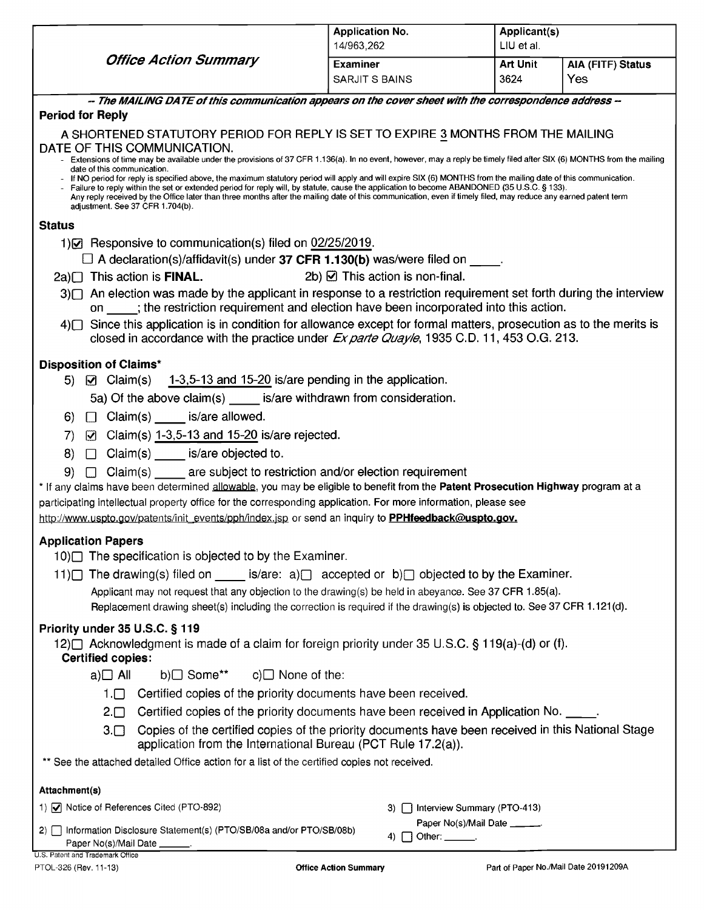|                                                                                                                                                                                                                                                                                                                                                                                                                                                                                                                     | <b>Application No.</b><br>14/963,262      | Applicant(s)<br>LIU et al. |                   |  |  |  |
|---------------------------------------------------------------------------------------------------------------------------------------------------------------------------------------------------------------------------------------------------------------------------------------------------------------------------------------------------------------------------------------------------------------------------------------------------------------------------------------------------------------------|-------------------------------------------|----------------------------|-------------------|--|--|--|
| <b>Office Action Summary</b>                                                                                                                                                                                                                                                                                                                                                                                                                                                                                        | <b>Examiner</b>                           | <b>Art Unit</b>            | AIA (FITF) Status |  |  |  |
|                                                                                                                                                                                                                                                                                                                                                                                                                                                                                                                     | SARJIT S BAINS                            | 3624                       | Yes               |  |  |  |
| -- The MAILING DATE of this communication appears on the cover sheet with the correspondence address --                                                                                                                                                                                                                                                                                                                                                                                                             |                                           |                            |                   |  |  |  |
| <b>Period for Reply</b>                                                                                                                                                                                                                                                                                                                                                                                                                                                                                             |                                           |                            |                   |  |  |  |
| A SHORTENED STATUTORY PERIOD FOR REPLY IS SET TO EXPIRE 3 MONTHS FROM THE MAILING                                                                                                                                                                                                                                                                                                                                                                                                                                   |                                           |                            |                   |  |  |  |
| DATE OF THIS COMMUNICATION.<br>- Extensions of time may be available under the provisions of 37 CFR 1.136(a). In no event, however, may a reply be timely filed after SIX (6) MONTHS from the mailing                                                                                                                                                                                                                                                                                                               |                                           |                            |                   |  |  |  |
| date of this communication.                                                                                                                                                                                                                                                                                                                                                                                                                                                                                         |                                           |                            |                   |  |  |  |
| If NO period for reply is specified above, the maximum statutory period will apply and will expire SIX (6) MONTHS from the mailing date of this communication.<br>Failure to reply within the set or extended period for reply will, by statute, cause the application to become ABANDONED (35 U.S.C. § 133).<br>Any reply received by the Office later than three months after the mailing date of this communication, even if timely filed, may reduce any earned patent term<br>adjustment. See 37 CFR 1.704(b). |                                           |                            |                   |  |  |  |
| <b>Status</b>                                                                                                                                                                                                                                                                                                                                                                                                                                                                                                       |                                           |                            |                   |  |  |  |
| 1) • Responsive to communication(s) filed on 02/25/2019.                                                                                                                                                                                                                                                                                                                                                                                                                                                            |                                           |                            |                   |  |  |  |
| $\Box$ A declaration(s)/affidavit(s) under 37 CFR 1.130(b) was/were filed on $\Box$                                                                                                                                                                                                                                                                                                                                                                                                                                 |                                           |                            |                   |  |  |  |
| This action is FINAL.<br>2a)□                                                                                                                                                                                                                                                                                                                                                                                                                                                                                       | 2b) $\boxtimes$ This action is non-final. |                            |                   |  |  |  |
| 3) An election was made by the applicant in response to a restriction requirement set forth during the interview<br>on ____; the restriction requirement and election have been incorporated into this action.                                                                                                                                                                                                                                                                                                      |                                           |                            |                   |  |  |  |
| 4) Since this application is in condition for allowance except for formal matters, prosecution as to the merits is                                                                                                                                                                                                                                                                                                                                                                                                  |                                           |                            |                   |  |  |  |
| closed in accordance with the practice under Ex parte Quayle, 1935 C.D. 11, 453 O.G. 213.                                                                                                                                                                                                                                                                                                                                                                                                                           |                                           |                            |                   |  |  |  |
|                                                                                                                                                                                                                                                                                                                                                                                                                                                                                                                     |                                           |                            |                   |  |  |  |
| <b>Disposition of Claims*</b><br>5) $\boxtimes$ Claim(s) 1-3,5-13 and 15-20 is/are pending in the application.                                                                                                                                                                                                                                                                                                                                                                                                      |                                           |                            |                   |  |  |  |
| 5a) Of the above claim(s) is/are withdrawn from consideration.                                                                                                                                                                                                                                                                                                                                                                                                                                                      |                                           |                            |                   |  |  |  |
| $\Box$ Claim(s) _____ is/are allowed.<br>6)                                                                                                                                                                                                                                                                                                                                                                                                                                                                         |                                           |                            |                   |  |  |  |
| $\boxtimes$ Claim(s) 1-3,5-13 and 15-20 is/are rejected.<br>$\left( 7\right)$                                                                                                                                                                                                                                                                                                                                                                                                                                       |                                           |                            |                   |  |  |  |
| Claim(s) is/are objected to.<br>8)<br>$\Box$                                                                                                                                                                                                                                                                                                                                                                                                                                                                        |                                           |                            |                   |  |  |  |
| Claim(s) are subject to restriction and/or election requirement<br>9)<br>$\Box$                                                                                                                                                                                                                                                                                                                                                                                                                                     |                                           |                            |                   |  |  |  |
| * If any claims have been determined allowable, you may be eligible to benefit from the Patent Prosecution Highway program at a                                                                                                                                                                                                                                                                                                                                                                                     |                                           |                            |                   |  |  |  |
| participating intellectual property office for the corresponding application. For more information, please see                                                                                                                                                                                                                                                                                                                                                                                                      |                                           |                            |                   |  |  |  |
| http://www.uspto.gov/patents/init_events/pph/index.jsp or send an inquiry to PPHfeedback@uspto.gov.                                                                                                                                                                                                                                                                                                                                                                                                                 |                                           |                            |                   |  |  |  |
| <b>Application Papers</b>                                                                                                                                                                                                                                                                                                                                                                                                                                                                                           |                                           |                            |                   |  |  |  |
| 10) The specification is objected to by the Examiner.                                                                                                                                                                                                                                                                                                                                                                                                                                                               |                                           |                            |                   |  |  |  |
| 11) The drawing(s) filed on ______ is/are: a) accepted or b) objected to by the Examiner.                                                                                                                                                                                                                                                                                                                                                                                                                           |                                           |                            |                   |  |  |  |
| Applicant may not request that any objection to the drawing(s) be held in abeyance. See 37 CFR 1.85(a).                                                                                                                                                                                                                                                                                                                                                                                                             |                                           |                            |                   |  |  |  |
| Replacement drawing sheet(s) including the correction is required if the drawing(s) is objected to. See 37 CFR 1.121(d).                                                                                                                                                                                                                                                                                                                                                                                            |                                           |                            |                   |  |  |  |
| Priority under 35 U.S.C. § 119                                                                                                                                                                                                                                                                                                                                                                                                                                                                                      |                                           |                            |                   |  |  |  |
| 12) Acknowledgment is made of a claim for foreign priority under 35 U.S.C. § 119(a)-(d) or (f).                                                                                                                                                                                                                                                                                                                                                                                                                     |                                           |                            |                   |  |  |  |
| <b>Certified copies:</b><br>b)□ Some**<br>$c)$ None of the:<br>$a)$ All                                                                                                                                                                                                                                                                                                                                                                                                                                             |                                           |                            |                   |  |  |  |
|                                                                                                                                                                                                                                                                                                                                                                                                                                                                                                                     |                                           |                            |                   |  |  |  |
| Certified copies of the priority documents have been received.<br>$1. \Box$                                                                                                                                                                                                                                                                                                                                                                                                                                         |                                           |                            |                   |  |  |  |
| Certified copies of the priority documents have been received in Application No. _____.<br>$2. \Box$                                                                                                                                                                                                                                                                                                                                                                                                                |                                           |                            |                   |  |  |  |
| Copies of the certified copies of the priority documents have been received in this National Stage<br>$3. \Box$<br>application from the International Bureau (PCT Rule 17.2(a)).                                                                                                                                                                                                                                                                                                                                    |                                           |                            |                   |  |  |  |
| ** See the attached detailed Office action for a list of the certified copies not received.                                                                                                                                                                                                                                                                                                                                                                                                                         |                                           |                            |                   |  |  |  |
| Attachment(s)                                                                                                                                                                                                                                                                                                                                                                                                                                                                                                       |                                           |                            |                   |  |  |  |
| 1) • Notice of References Cited (PTO-892)                                                                                                                                                                                                                                                                                                                                                                                                                                                                           | □ Interview Summary (PTO-413)<br>3).      |                            |                   |  |  |  |
| 2) 1nformation Disclosure Statement(s) (PTO/SB/08a and/or PTO/SB/08b)                                                                                                                                                                                                                                                                                                                                                                                                                                               | Paper No(s)/Mail Date ______.             |                            |                   |  |  |  |
|                                                                                                                                                                                                                                                                                                                                                                                                                                                                                                                     | 4) $\Box$ Other: _______.                 |                            |                   |  |  |  |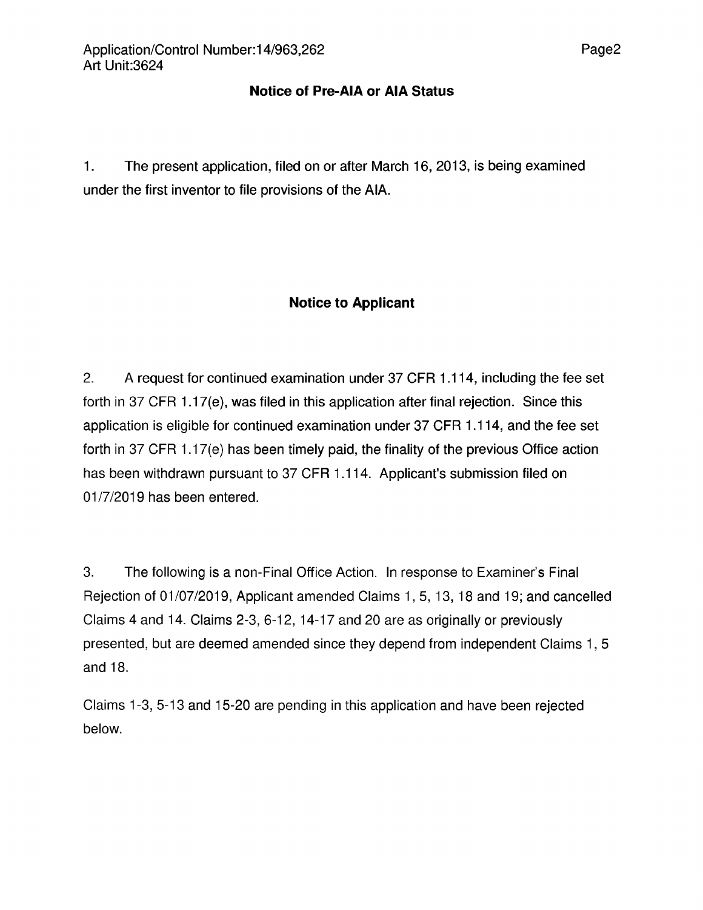### **Notice of Pre-AIA or AIA Status**

1. The present application, filed on or after March 16, 2013, is being examined under the first inventor to file provisions of the AIA.

## **Notice to Applicant**

2. A request for continued examination under 37 CFR 1.114, including the fee set forth in 37 CFR 1.17(e), was filed in this application after final rejection. Since this application is eligible for continued examination under 37 CFR 1.114, and the fee set forth in 37 CFR 1.17(e) has been timely paid, the finality of the previous Office action has been withdrawn pursuant to 37 CFR 1.114. Applicant's submission filed on 01/7/2019 has been entered.

3. The following is a non-Final Office Action. In response to Examiner's Final Rejection of 01/07/2019, Applicant amended Claims 1,5,13,18 and 19; and cancelled Claims 4 and 14. Claims 2-3, 6-12, 14-17 and 20 are as originally or previously presented, but are deemed amended since they depend from independent Claims 1,5 and 18.

Claims 1-3, 5-13 and 15-20 are pending in this application and have been rejected below.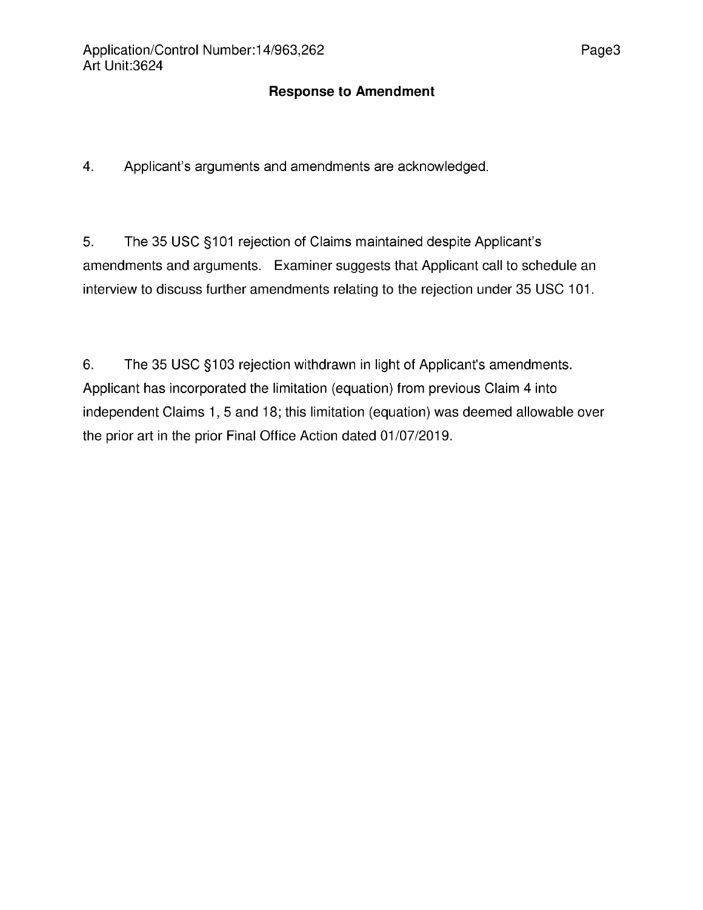### **Response to Amendment**

4. Applicant's arguments and amendments are acknowledged.

5. The 35 USC §101 rejection of Claims maintained despite Applicant's amendments and arguments. Examiner suggests that Applicant call to schedule an interview to discuss further amendments relating to the rejection under 35 USC 101.

6. The 35 USC §103 rejection withdrawn in light of Applicant's amendments. Applicant has incorporated the limitation (equation) from previous Claim 4 into independent Claims 1, 5 and 18; this limitation (equation) was deemed allowable over the prior art in the prior Final Office Action dated 01/07/2019.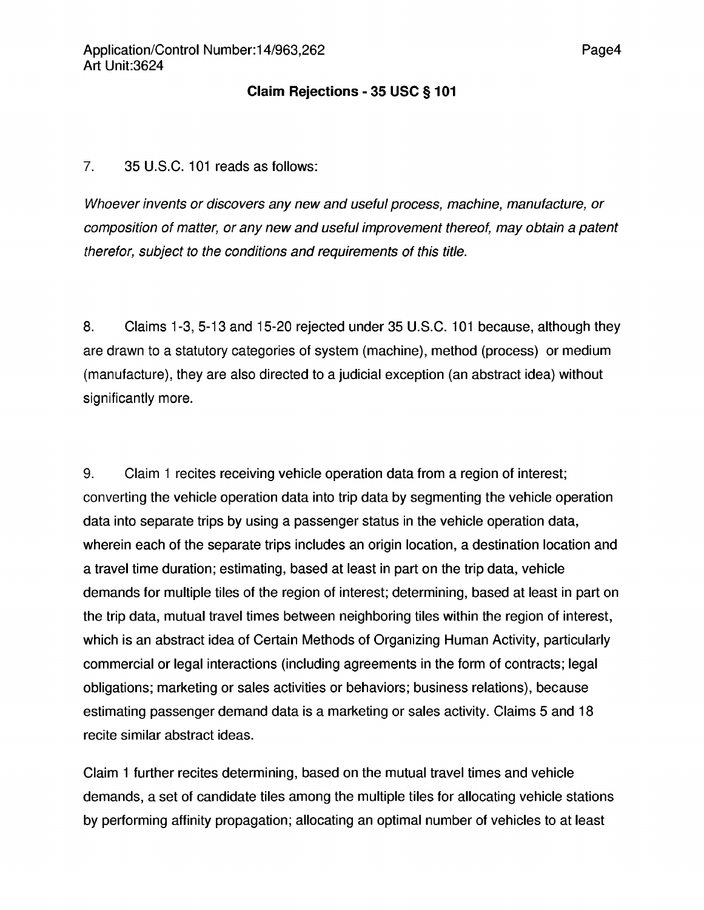#### **Claim Rejections - 35 USC § 101**

#### 7. 35 U.S.C. 101 reads as follows:

Whoever invents or discovers any new and useful process, machine, manufacture, or composition of matter, or any new and useful improvement thereof, may obtain a patent therefor, subject to the conditions and requirements of this title.

8. Claims 1-3, 5-13 and 15-20 rejected under 35 U.S.C. 101 because, although they are drawn to a statutory categories of system (machine), method (process) or medium (manufacture), they are also directed to a judicial exception (an abstract idea) without significantly more.

9. Claim <sup>1</sup> recites receiving vehicle operation data from a region of interest; converting the vehicle operation data into trip data by segmenting the vehicle operation data into separate trips by using a passenger status in the vehicle operation data, wherein each of the separate trips includes an origin location, a destination location and a travel time duration; estimating, based at least in part on the trip data, vehicle demands for multiple tiles of the region of interest; determining, based at least in part on the trip data, mutual travel times between neighboring tiles within the region of interest, which is an abstract idea of Certain Methods of Organizing Human Activity, particularly commercial or legal interactions (including agreements in the form of contracts; legal obligations; marketing or sales activities or behaviors; business relations), because estimating passenger demand data is a marketing or sales activity. Claims 5 and 18 recite similar abstract ideas.

Claim <sup>1</sup> further recites determining, based on the mutual travel times and vehicle demands, a set of candidate tiles among the multiple tiles for allocating vehicle stations by performing affinity propagation; allocating an optimal number of vehicles to at least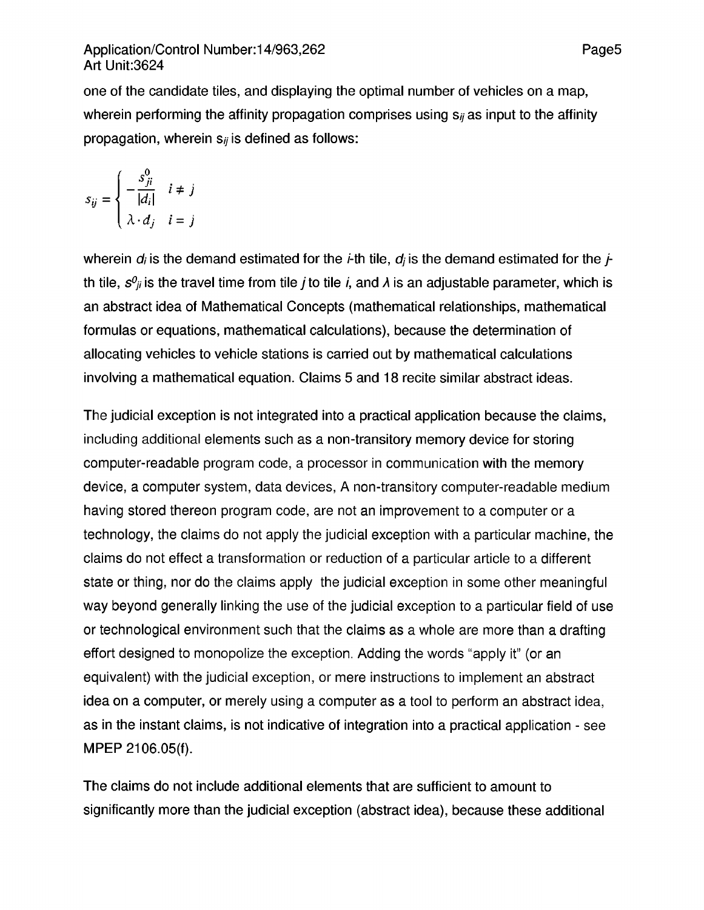### Application/Control Number:14/963,262 Page5 Art Unit:3624

one of the candidate tiles, and displaying the optimal number of vehicles on a map, wherein performing the affinity propagation comprises using  $s_{ij}$  as input to the affinity propagation, wherein  $s_{ij}$  is defined as follows:

$$
s_{ij} = \begin{cases} -\frac{s_{ji}^0}{|d_i|} & i \neq j \\ \lambda \cdot d_j & i = j \end{cases}
$$

wherein  $d_i$  is the demand estimated for the *i*-th tile,  $d_i$  is the demand estimated for the *j*th tile,  $s^0$ <sub>ii</sub> is the travel time from tile *i* to tile *i*, and *λ* is an adjustable parameter, which is an abstract idea of Mathematical Concepts (mathematical relationships, mathematical formulas or equations, mathematical calculations), because the determination of allocating vehicles to vehicle stations is carried out by mathematical calculations involving a mathematical equation. Claims 5 and 18 recite similar abstract ideas.

The judicial exception is not integrated into a practical application because the claims, including additional elements such as a non-transitory memory device for storing computer-readable program code, a processor in communication with the memory device, a computer system, data devices, A non-transitory computer-readable medium having stored thereon program code, are not an improvement to a computer or a technology, the claims do not apply the judicial exception with a particular machine, the claims do not effect a transformation or reduction of a particular article to a different state or thing, nor do the claims apply the judicial exception in some other meaningful way beyond generally linking the use of the judicial exception to a particular field of use or technological environment such that the claims as a whole are more than a drafting effort designed to monopolize the exception. Adding the words "apply it" (or an equivalent) with the judicial exception, or mere instructions to implement an abstract idea on a computer, or merely using a computer as a tool to perform an abstract idea, as in the instant claims, is not indicative of integration into a practical application - see MPEP 2106.05(f).

The claims do not include additional elements that are sufficient to amount to significantly more than the judicial exception (abstract idea), because these additional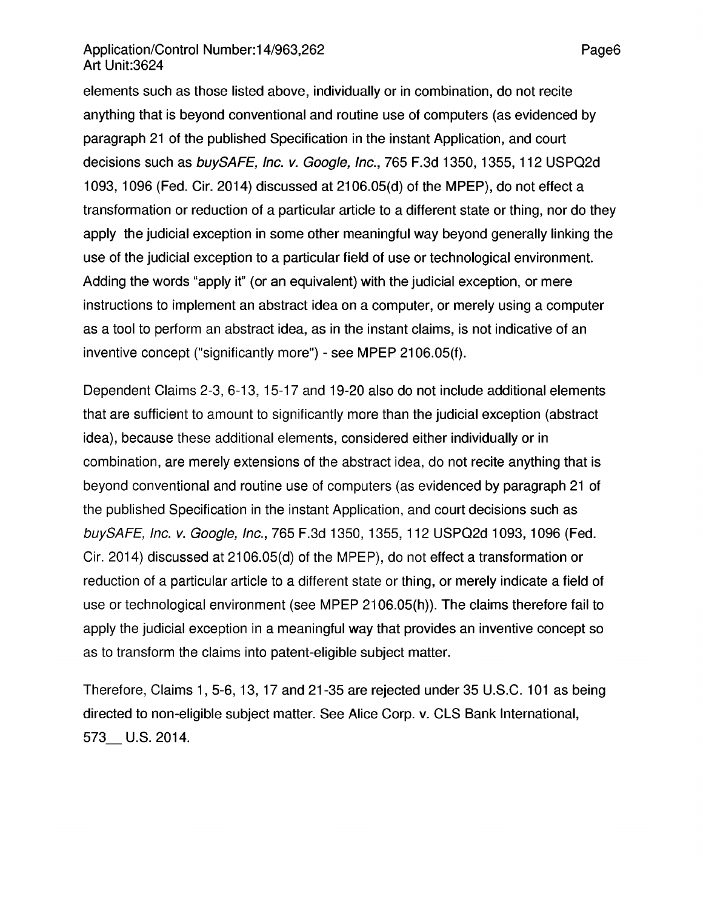### Application/Control Number:14/963,262 Page6 Art Unit:3624

elements such as those listed above, individually or in combination, do not recite anything that is beyond conventional and routine use of computers (as evidenced by paragraph 21 of the published Specification in the instant Application, and court decisions such as buySAFE, Inc. v. Google, Inc., 765 F.3d 1350, 1355, 112 USPQ2d 1093,1096 (Fed. Cir. 2014) discussed at 2106.05(d) of the MPEP), do not effect a transformation or reduction of a particular article to a different state or thing, nor do they apply the judicial exception in some other meaningful way beyond generally linking the use of the judicial exception to a particular field of use or technological environment. Adding the words "apply it" (or an equivalent) with the judicial exception, or mere instructions to implement an abstract idea on a computer, or merely using a computer as a tool to perform an abstract idea, as in the instant claims, is not indicative of an inventive concept ("significantly more") - see MPEP 2106.05(f).

Dependent Claims 2-3, 6-13, 15-17 and 19-20 also do not include additional elements that are sufficient to amount to significantly more than the judicial exception (abstract idea), because these additional elements, considered either individually or in combination, are merely extensions of the abstract idea, do not recite anything that is beyond conventional and routine use of computers (as evidenced by paragraph 21 of the published Specification in the instant Application, and court decisions such as buySAFE, Inc. v. Google, Inc., 765 F.3d 1350, 1355, 112 USPQ2d 1093,1096 (Fed. Cir. 2014) discussed at 2106.05(d) of the MPEP), do not effect a transformation or reduction of a particular article to a different state or thing, or merely indicate a field of use or technological environment (see MPEP 2106.05(h)). The claims therefore fail to apply the judicial exception in a meaningful way that provides an inventive concept so as to transform the claims into patent-eligible subject matter.

Therefore, Claims 1,5-6,13,17 and 21-35 are rejected under 35 U.S.C. 101 as being directed to non-eligible subject matter. See Alice Corp. v. CLS Bank International, 573 U.S. 2014.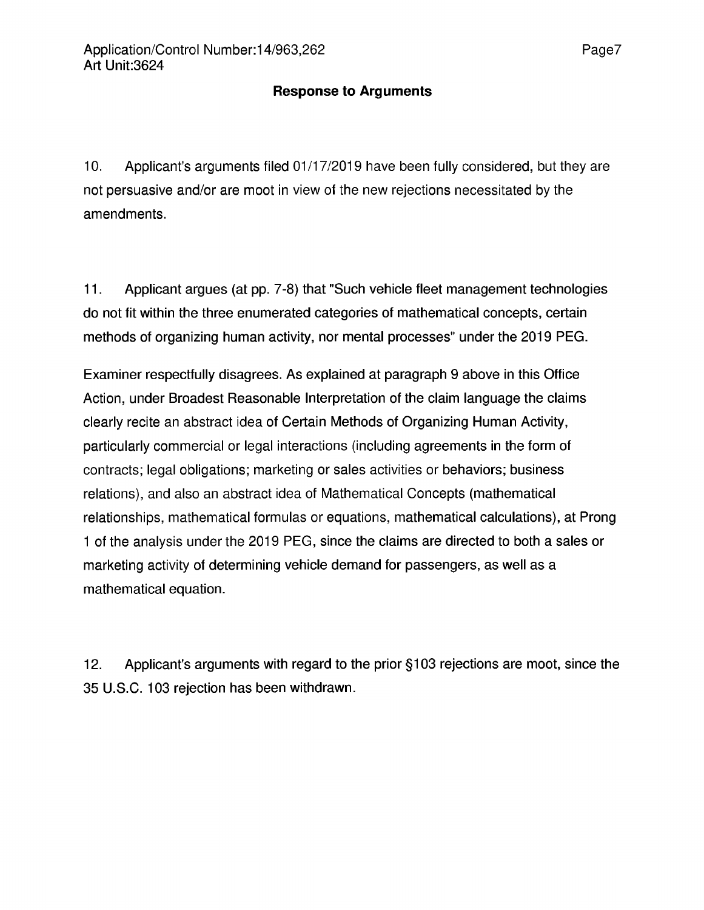### **Response to Arguments**

10. Applicant's arguments filed 01 /17/2019 have been fully considered, but they are not persuasive and/or are moot in view of the new rejections necessitated by the amendments.

11. Applicant argues (at pp. 7-8) that "Such vehicle fleet management technologies do not fit within the three enumerated categories of mathematical concepts, certain methods of organizing human activity, nor mental processes" under the 2019 PEG.

Examiner respectfully disagrees. As explained at paragraph 9 above in this Office Action, under Broadest Reasonable Interpretation of the claim language the claims clearly recite an abstract idea of Certain Methods of Organizing Human Activity, particularly commercial or legal interactions (including agreements in the form of contracts; legal obligations; marketing or sales activities or behaviors; business relations), and also an abstract idea of Mathematical Concepts (mathematical relationships, mathematical formulas or equations, mathematical calculations), at Prong <sup>1</sup> of the analysis under the 2019 PEG, since the claims are directed to both a sales or marketing activity of determining vehicle demand for passengers, as well as a mathematical equation.

12. Applicant's arguments with regard to the prior §103 rejections are moot, since the 35 U.S.C. 103 rejection has been withdrawn.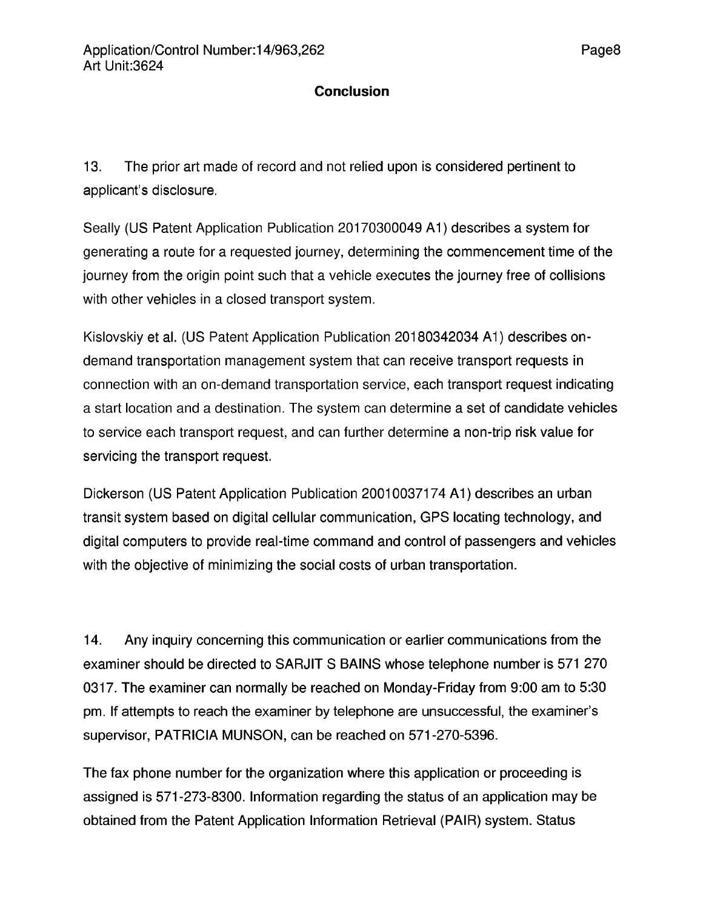### **Conclusion**

13. The prior art made of record and not relied upon is considered pertinent to applicant's disclosure.

Seally (US Patent Application Publication 20170300049 A1) describes a system for generating a route for a requested journey, determining the commencement time of the journey from the origin point such that a vehicle executes the journey free of collisions with other vehicles in a closed transport system.

Kislovskiy et al. (US Patent Application Publication 20180342034 A1) describes ondemand transportation management system that can receive transport requests in connection with an on-demand transportation service, each transport request indicating a start location and a destination. The system can determine a set of candidate vehicles to service each transport request, and can further determine a non-trip risk value for servicing the transport request.

Dickerson (US Patent Application Publication 20010037174 A1) describes an urban transit system based on digital cellular communication, GPS locating technology, and digital computers to provide real-time command and control of passengers and vehicles with the objective of minimizing the social costs of urban transportation.

14. Any inquiry concerning this communication or earlier communications from the examiner should be directed to SARJIT S BAINS whose telephone number is 571 270 0317. The examiner can normally be reached on Monday-Friday from 9:00 am to 5:30 pm. If attempts to reach the examiner by telephone are unsuccessful, the examiner's supervisor, PATRICIA MUNSON, can be reached on 571-270-5396.

The fax phone number for the organization where this application or proceeding is assigned is 571-273-8300. Information regarding the status of an application may be obtained from the Patent Application Information Retrieval (PAIR) system. Status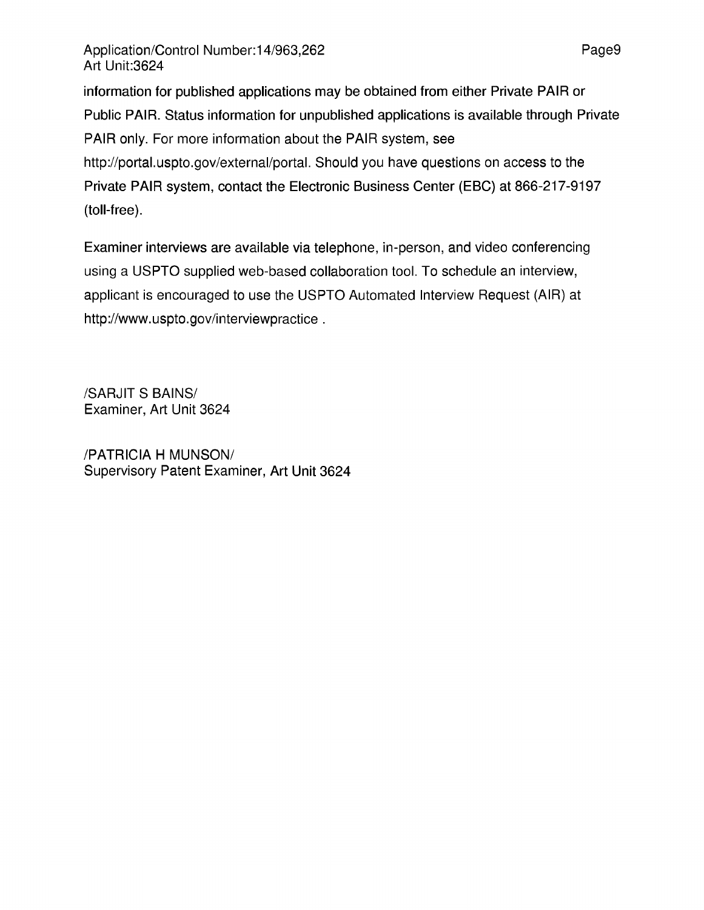information for published applications may be obtained from either Private PAIR or Public PAIR. Status information for unpublished applications is available through Private PAIR only. For more information about the PAIR system, see http://portal.uspto.gov/external/portal. Should you have questions on access to the Private PAIR system, contact the Electronic Business Center (EBC) at 866-217-9197 (toll-free).

Examiner interviews are available via telephone, in-person, and video conferencing using a USPTO supplied web-based collaboration tool. To schedule an interview, applicant is encouraged to use the USPTO Automated Interview Request (AIR) at http://www.uspto.gov/interviewpractice .

/SARJIT S BAINS/ Examiner, Art Unit 3624

/PATRICIA H MUNSON/ Supervisory Patent Examiner, Art Unit 3624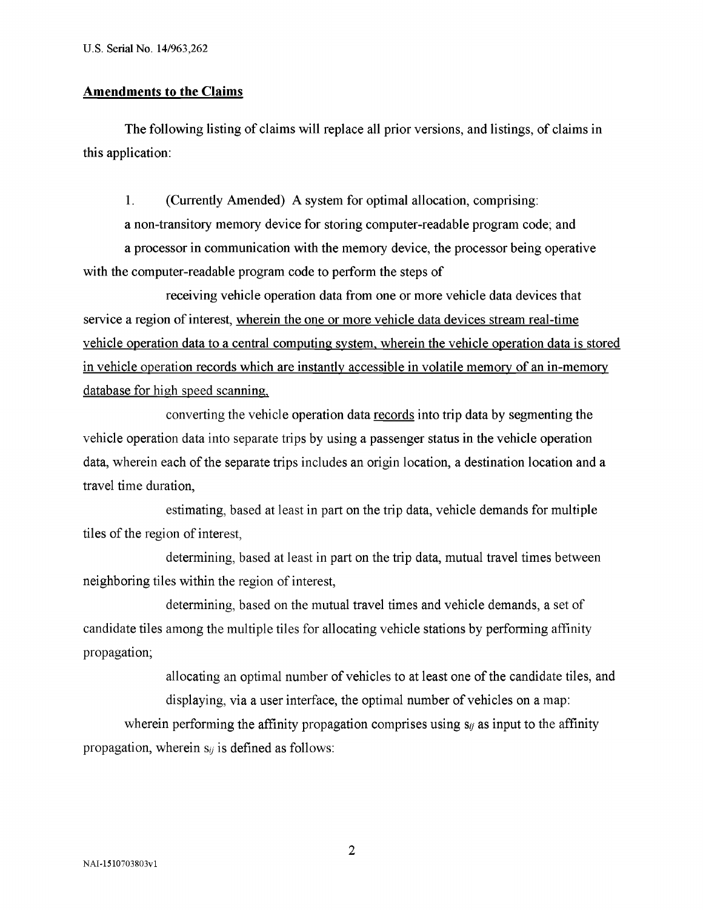#### **Amendments to the Claims**

The following listing of claims will replace all prior versions, and listings, of claims in this application:

1. (Currently Amended) A system for optimal allocation, comprising: a non-transitory memory device for storing computer-readable program code; and

a processor in communication with the memory device, the processor being operative with the computer-readable program code to perform the steps of

receiving vehicle operation data from one or more vehicle data devices that service a region of interest, wherein the one or more vehicle data devices stream real-time vehicle operation data to a central computing system, wherein the vehicle operation data is stored in vehicle operation records which are instantly accessible in volatile memory of an in-memory database for high speed scanning.

converting the vehicle operation data records into trip data by segmenting the vehicle operation data into separate trips by using a passenger status in the vehicle operation data, wherein each of the separate trips includes an origin location, a destination location and a travel time duration,

estimating, based at least in part on the trip data, vehicle demands for multiple tiles of the region of interest,

determining, based at least in part on the trip data, mutual travel times between neighboring tiles within the region of interest,

determining, based on the mutual travel times and vehicle demands, a set of candidate tiles among the multiple tiles for allocating vehicle stations by performing affinity propagation;

> allocating an optimal number of vehicles to at least one of the candidate tiles, and displaying, via a user interface, the optimal number of vehicles on a map:

wherein performing the affinity propagation comprises using  $s_{ij}$  as input to the affinity propagation, wherein  $s_{ij}$  is defined as follows: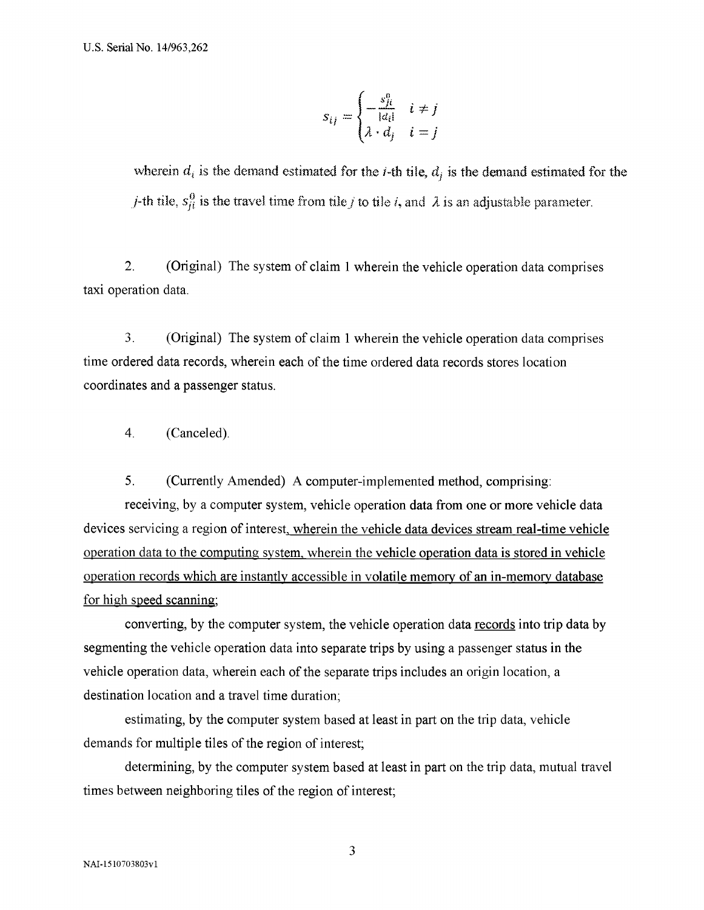$$
s_{ij} = \begin{cases} -\frac{s_{ji}^0}{|a_i|} & i \neq j \\ \lambda \cdot d_j & i = j \end{cases}
$$

wherein  $d_i$  is the demand estimated for the *i*-th tile,  $d_j$  is the demand estimated for the *j*-th tile,  $s_{ji}^0$  is the travel time from tile *j* to tile *i*, and  $\lambda$  is an adjustable parameter.

2. (Original) The system of claim <sup>1</sup> wherein the vehicle operation data comprises taxi operation data.

3. (Original) The system of claim <sup>1</sup> wherein the vehicle operation data comprises time ordered data records, wherein each of the time ordered data records stores location coordinates and a passenger status.

4. (Canceled).

5. (Currently Amended) A computer-implemented method, comprising:

receiving, by a computer system, vehicle operation data from one or more vehicle data devices servicing a region of interest, wherein the vehicle data devices stream real-time vehicle operation data to the computing system, wherein the vehicle operation data is stored in vehicle operation records which are instantly accessible in volatile memory of an in-memory database for high speed scanning:

converting, by the computer system, the vehicle operation data records into trip data by segmenting the vehicle operation data into separate trips by using a passenger status in the vehicle operation data, wherein each of the separate trips includes an origin location, a destination location and a travel time duration;

estimating, by the computer system based at least in part on the trip data, vehicle demands for multiple tiles of the region of interest;

determining, by the computer system based at least in part on the trip data, mutual travel times between neighboring tiles of the region of interest;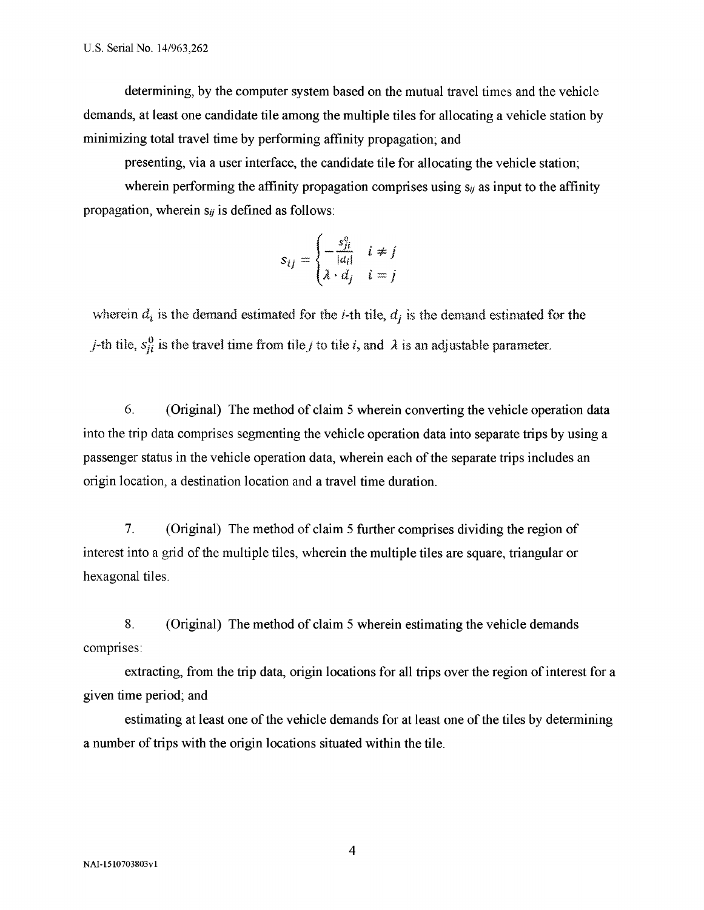determining, by the computer system based on the mutual travel times and the vehicle demands, at least one candidate tile among the multiple tiles for allocating a vehicle station by minimizing total travel time by performing affinity propagation; and

presenting, via a user interface, the candidate tile for allocating the vehicle station;

wherein performing the affinity propagation comprises using  $s_{ij}$  as input to the affinity propagation, wherein  $s_{ij}$  is defined as follows:

$$
s_{ij} = \begin{cases} -\frac{s_{ji}^0}{|a_i|} & i \neq j \\ \lambda \cdot d_j & i = j \end{cases}
$$

wherein  $d_i$  is the demand estimated for the *i*-th tile,  $d_j$  is the demand estimated for the *j*-th tile,  $s_{ji}^0$  is the travel time from tile *j* to tile *i*, and  $\lambda$  is an adjustable parameter.

6. (Original) The method of claim 5 wherein converting the vehicle operation data into the trip data comprises segmenting the vehicle operation data into separate trips by using a passenger status in the vehicle operation data, wherein each of the separate trips includes an origin location, a destination location and a travel time duration.

7. (Original) The method of claim 5 further comprises dividing the region of interest into a grid of the multiple tiles, wherein the multiple tiles are square, triangular or hexagonal tiles.

8. (Original) The method of claim 5 wherein estimating the vehicle demands comprises:

extracting, from the trip data, origin locations for all trips over the region of interest for a given time period; and

estimating at least one of the vehicle demands for at least one of the tiles by determining a number of trips with the origin locations situated within the tile.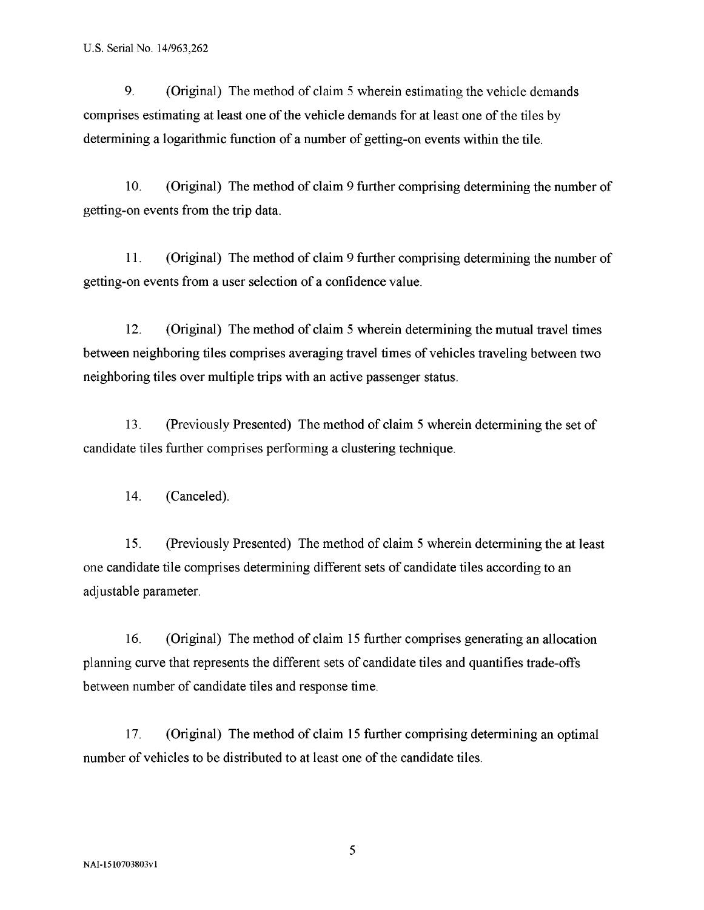9. (Original) The method of claim <sup>5</sup> wherein estimating the vehicle demands comprises estimating at least one of the vehicle demands for at least one of the tiles by determining a logarithmic function of a number of getting-on events within the tile.

10. (Original) The method of claim 9 further comprising determining the number of getting-on events from the trip data.

11. (Original) The method of claim 9 further comprising determining the number of getting-on events from a user selection of a confidence value.

12. (Original) The method of claim 5 wherein determining the mutual travel times between neighboring tiles comprises averaging travel times of vehicles traveling between two neighboring tiles over multiple trips with an active passenger status.

13. (Previously Presented) The method of claim 5 wherein determining the set of candidate tiles further comprises performing a clustering technique.

14. (Canceled).

15. (Previously Presented) The method of claim 5 wherein determining the at least one candidate tile comprises determining different sets of candidate tiles according to an adjustable parameter.

16. (Original) The method of claim 15 further comprises generating an allocation planning curve that represents the different sets of candidate tiles and quantifies trade-offs between number of candidate tiles and response time.

17. (Original) The method of claim 15 further comprising determining an optimal number of vehicles to be distributed to at least one of the candidate tiles.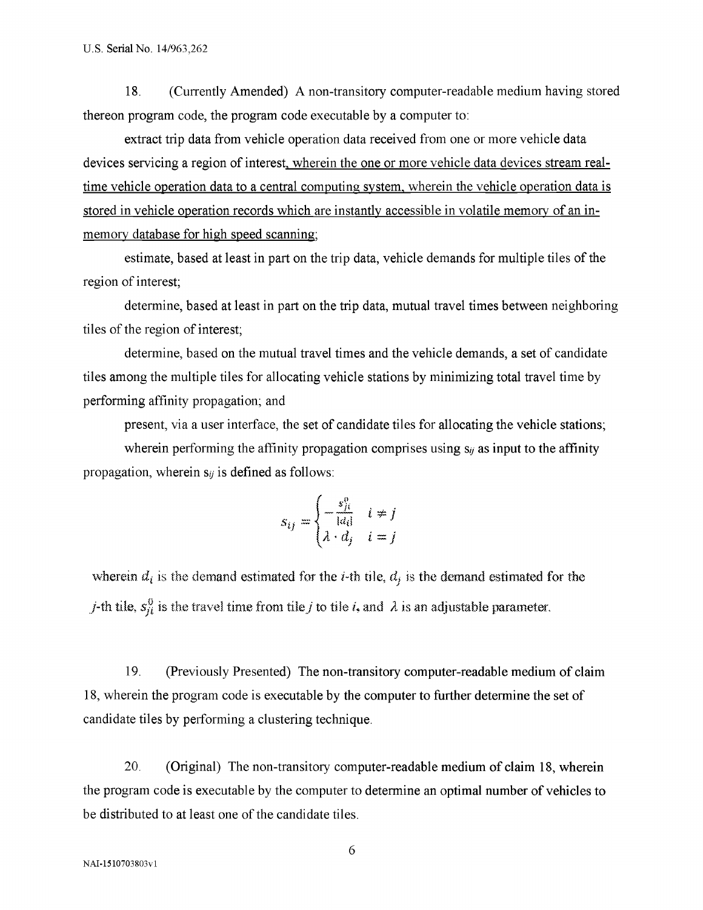18. (Currently Amended) A non-transitory computer-readable medium having stored thereon program code, the program code executable by a computer to:

extract trip data from vehicle operation data received from one or more vehicle data devices servicing a region of interest, wherein the one or more vehicle data devices stream realtime vehicle operation data to a central computing system, wherein the vehicle operation data is stored in vehicle operation records which are instantly accessible in volatile memory of an inmemory database for high speed scanning:

estimate, based at least in part on the trip data, vehicle demands for multiple tiles of the region of interest;

determine, based at least in part on the trip data, mutual travel times between neighboring tiles of the region of interest;

determine, based on the mutual travel times and the vehicle demands, a set of candidate tiles among the multiple tiles for allocating vehicle stations by minimizing total travel time by performing affinity propagation; and

present, via a user interface, the set of candidate tiles for allocating the vehicle stations;

wherein performing the affinity propagation comprises using *sy* as input to the affinity propagation, wherein  $s_{ij}$  is defined as follows:

$$
s_{ij} = \begin{cases} -\frac{s_{ji}^0}{|d_i|} & i \neq j \\ \lambda \cdot d_j & i = j \end{cases}
$$

wherein  $d_i$  is the demand estimated for the *i*-th tile,  $d_j$  is the demand estimated for the *j*-th tile,  $s_{ji}^0$  is the travel time from tile *j* to tile *i*, and  $\lambda$  is an adjustable parameter.

19. (Previously Presented) The non-transitory computer-readable medium of claim 18, wherein the program code is executable by the computer to further determine the set of candidate tiles by performing a clustering technique.

20. (Original) The non-transitory computer-readable medium of claim 18, wherein the program code is executable by the computer to determine an optimal number of vehicles to be distributed to at least one of the candidate tiles.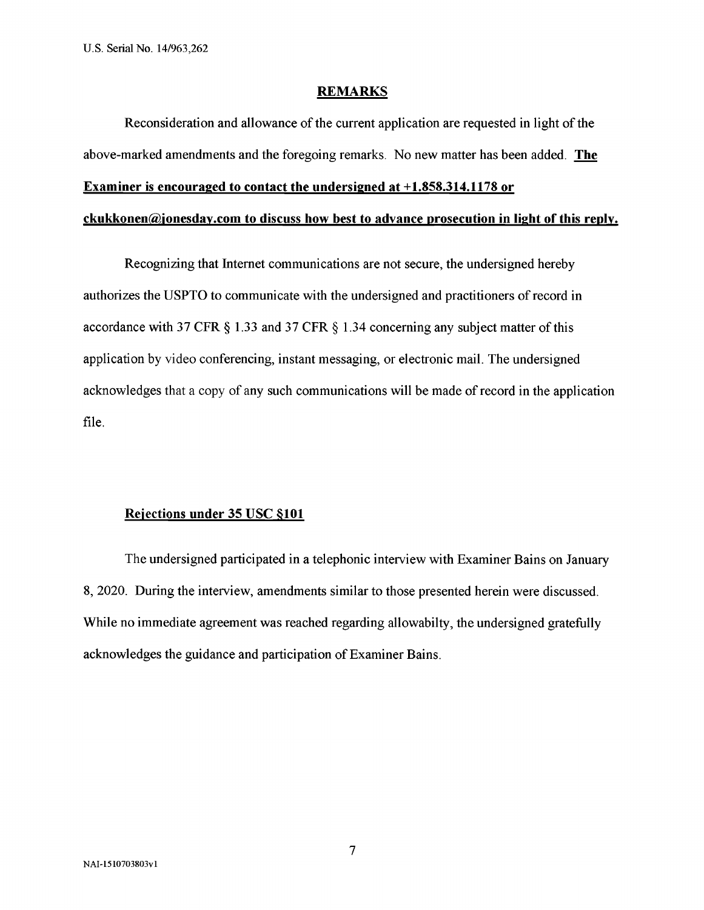#### **REMARKS**

Reconsideration and allowance of the current application are requested in light of the above-marked amendments and the foregoing remarks. No new matter has been added. **The Examiner is encouraged to contact the undersigned at +1.858.314.1178 or**

#### **ckukkonen@ionesdav.com to discuss how best to advance prosecution in light ofthis reply.**

Recognizing that Internet communications are not secure, the undersigned hereby authorizes the USPTO to communicate with the undersigned and practitioners of record in accordance with 37 CFR  $\S$  1.33 and 37 CFR  $\S$  1.34 concerning any subject matter of this application by video conferencing, instant messaging, or electronic mail. The undersigned acknowledges that a copy of any such communications will be made of record in the application file.

#### **Rejections under 35 USC \$101**

The undersigned participated in a telephonic interview with Examiner Bains on January 8, 2020. During the interview, amendments similar to those presented herein were discussed. While no immediate agreement was reached regarding allowabilty, the undersigned gratefully acknowledges the guidance and participation of Examiner Bains.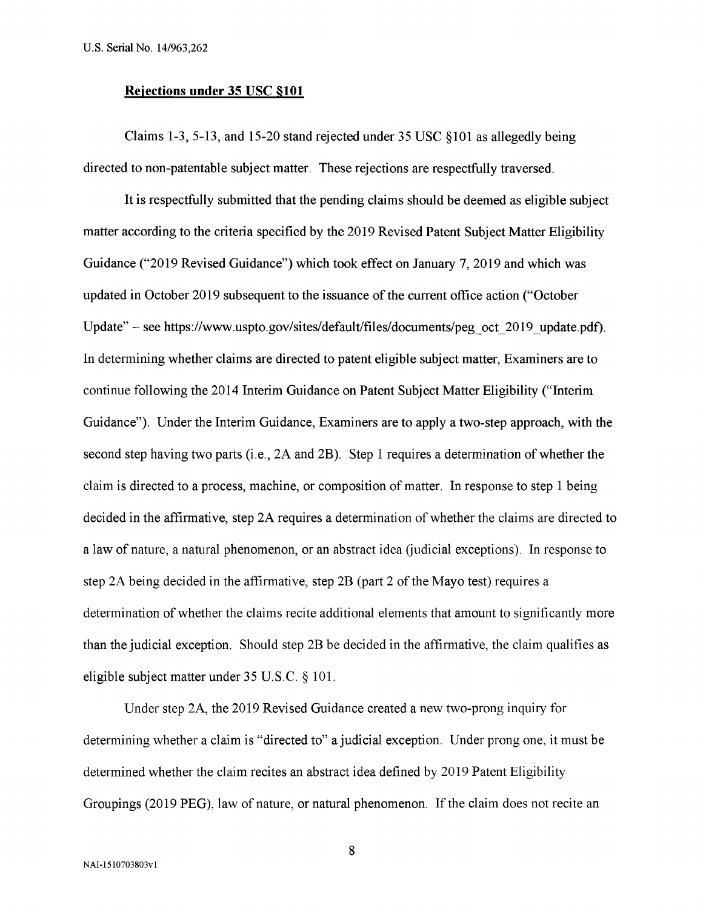#### **Rejections under 35 USC \$101**

Claims 1-3, 5-13, and 15-20 stand rejected under 35 USC §101 as allegedly being directed to non-patentable subject matter. These rejections are respectfully traversed.

It is respectfully submitted that the pending claims should be deemed as eligible subject matter according to the criteria specified by the 2019 Revised Patent Subject Matter Eligibility Guidance ("2019 Revised Guidance") which took effect on January 7, 2019 and which was updated in October 2019 subsequent to the issuance of the current office action ("October Update" - see https://www.uspto.gov/sites/default/files/documents/peg\_oct\_2019\_update.pdf). In determining whether claims are directed to patent eligible subject matter, Examiners are to continue following the 2014 Interim Guidance on Patent Subject Matter Eligibility ("Interim Guidance"). Under the Interim Guidance, Examiners are to apply a two-step approach, with the second step having two parts (i.e.,  $2A$  and  $2B$ ). Step 1 requires a determination of whether the claim is directed to a process, machine, or composition of matter. In response to step 1 being decided in the affirmative, step 2A requires a determination of whether the claims are directed to a law of nature, a natural phenomenon, or an abstract idea (judicial exceptions). In response to step 2A being decided in the affirmative, step  $2B$  (part 2 of the Mayo test) requires a determination of whether the claims recite additional elements that amount to significantly more than the judicial exception. Should step 2B be decided in the affirmative, the claim qualifies as eligible subject matter under 35 U.S.C. § 101.

Under step 2A, the 2019 Revised Guidance created a new two-prong inquiry for determining whether a claim is "directed to" a judicial exception. Under prong one, it must be determined whether the claim recites an abstract idea defined by 2019 Patent Eligibility Groupings (2019 PEG), law of nature, or natural phenomenon. If the claim does not recite an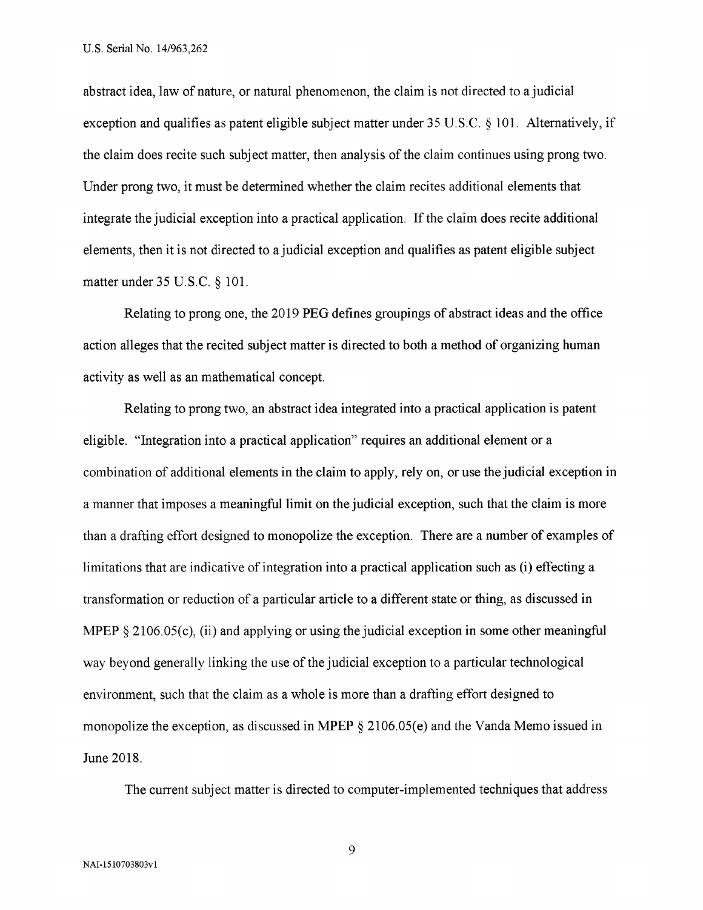abstract idea, law of nature, or natural phenomenon, the claim is not directed to a judicial exception and qualifies as patent eligible subject matter under 35 U.S.C. § 101. Alternatively, if the claim does recite such subject matter, then analysis of the claim continues using prong two. Under prong two, it must be determined whether the claim recites additional elements that integrate the judicial exception into a practical application. If the claim does recite additional elements, then it is not directed to a judicial exception and qualifies as patent eligible subject matter under 35 U.S.C. § 101.

Relating to prong one, the 2019 PEG defines groupings of abstract ideas and the office action alleges that the recited subject matter is directed to both a method of organizing human activity as well as an mathematical concept.

Relating to prong two, an abstract idea integrated into a practical application is patent eligible. "Integration into a practical application" requires an additional element or a combination of additional elements in the claim to apply, rely on, or use the judicial exception in a manner that imposes a meaningful limit on the judicial exception, such that the claim is more than a drafting effort designed to monopolize the exception. There are a number of examples of limitations that are indicative of integration into a practical application such as (i) effecting a transformation or reduction of a particular article to a different state or thing, as discussed in MPEP § 2106.05(c), (ii) and applying or using the judicial exception in some other meaningful way beyond generally linking the use of the judicial exception to a particular technological environment, such that the claim as a whole is more than a drafting effort designed to monopolize the exception, as discussed in MPEP § 2106.05(e) and the Vanda Memo issued in June 2018.

The current subject matter is directed to computer-implemented techniques that address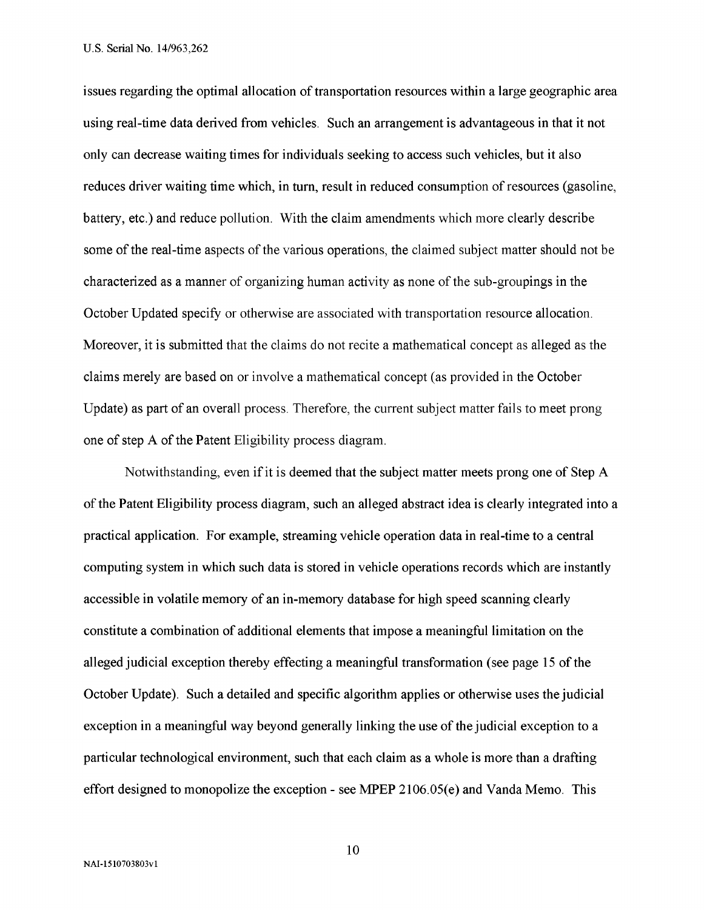issues regarding the optimal allocation of transportation resources within a large geographic area using real-time data derived from vehicles. Such an arrangement is advantageous in that it not only can decrease waiting times for individuals seeking to access such vehicles, but it also reduces driver waiting time which, in turn, result in reduced consumption of resources (gasoline, battery, etc.) and reduce pollution. With the claim amendments which more clearly describe some of the real-time aspects of the various operations, the claimed subject matter should not be characterized as a manner of organizing human activity as none of the sub-groupings in the October Updated specify or otherwise are associated with transportation resource allocation. Moreover, it is submitted that the claims do not recite a mathematical concept as alleged as the claims merely are based on or involve a mathematical concept (as provided in the October Update) as part of an overall process. Therefore, the current subject matter fails to meet prong one of step A of the Patent Eligibility process diagram.

Notwithstanding, even if it is deemed that the subject matter meets prong one of Step A of the Patent Eligibility process diagram, such an alleged abstract idea is clearly integrated into a practical application. For example, streaming vehicle operation data in real-time to a central computing system in which such data is stored in vehicle operations records which are instantly accessible in volatile memory of an in-memory database for high speed scanning clearly constitute a combination of additional elements that impose a meaningful limitation on the alleged judicial exception thereby effecting a meaningful transformation (see page 15 of the October Update). Such a detailed and specific algorithm applies or otherwise uses the judicial exception in a meaningful way beyond generally linking the use of the judicial exception to a particular technological environment, such that each claim as a whole is more than a drafting effort designed to monopolize the exception - see MPEP 2106.05(e) and Vanda Memo. This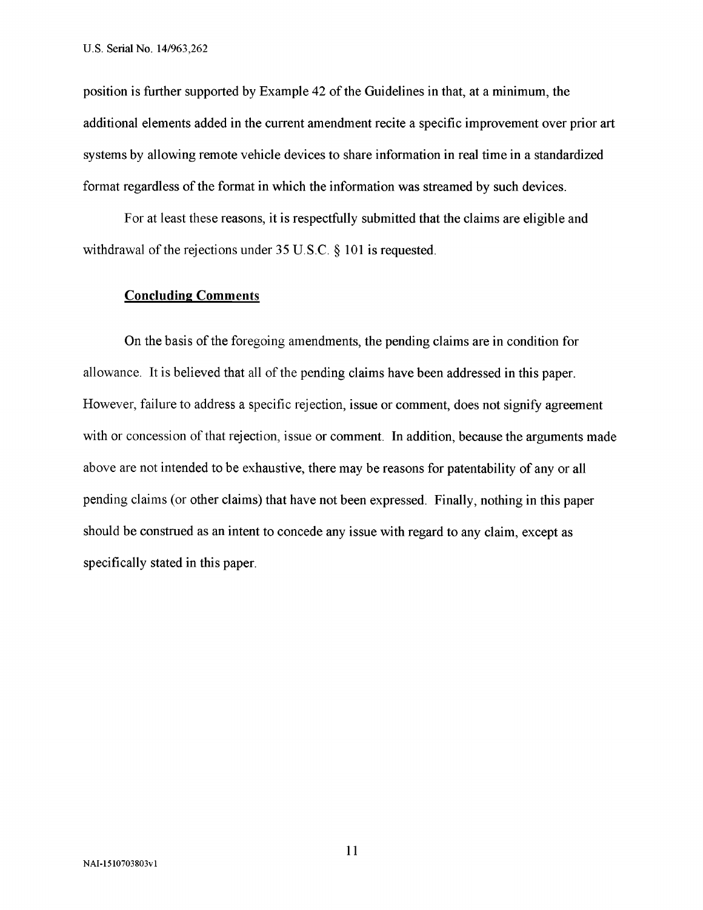position is further supported by Example 42 of the Guidelines in that, at a minimum, the additional elements added in the current amendment recite a specific improvement over prior art systems by allowing remote vehicle devices to share information in real time in a standardized format regardless of the format in which the information was streamed by such devices.

For at least these reasons, it is respectfully submitted that the claims are eligible and withdrawal of the rejections under  $35 \text{ U.S.C.}$  § 101 is requested.

#### **Concluding Comments**

On the basis of the foregoing amendments, the pending claims are in condition for allowance. It is believed that all of the pending claims have been addressed in this paper. However, failure to address a specific rejection, issue or comment, does not signify agreement with or concession of that rejection, issue or comment. In addition, because the arguments made above are not intended to be exhaustive, there may be reasons for patentability of any or all pending claims (or other claims) that have not been expressed. Finally, nothing in this paper should be construed as an intent to concede any issue with regard to any claim, except as specifically stated in this paper.